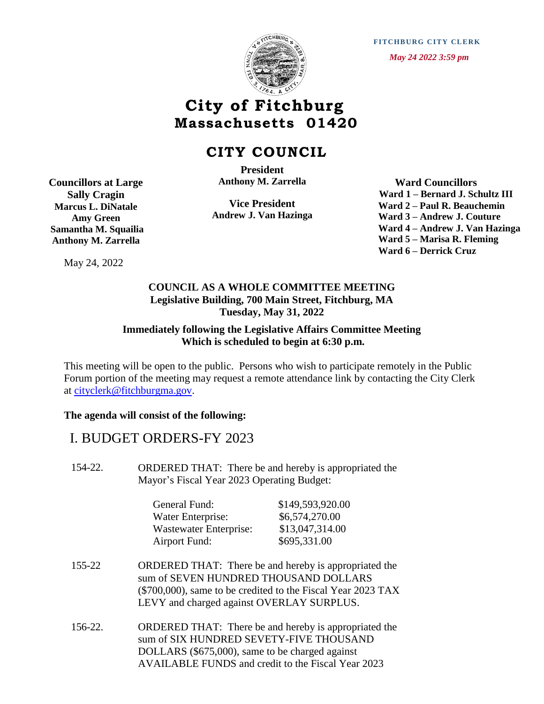

**FITCHBURG CITY CLERK**  *May 24 2022 3:59 pm*

# **City of Fitchburg Massachusetts 01420**

## **CITY COUNCIL**

 **Anthony M. Zarrella President**

**Vice President Andrew J. Van Hazinga**

 **Ward Councillors Ward 1 – Bernard J. Schultz III Ward 2 – Paul R. Beauchemin Ward 3 – Andrew J. Couture Ward 4 – Andrew J. Van Hazinga Ward 5 – Marisa R. Fleming Ward 6 – Derrick Cruz**

May 24, 2022

**Councillors at Large Sally Cragin Marcus L. DiNatale Amy Green Samantha M. Squailia Anthony M. Zarrella**

#### **COUNCIL AS A WHOLE COMMITTEE MEETING Legislative Building, 700 Main Street, Fitchburg, MA Tuesday, May 31, 2022**

#### **Immediately following the Legislative Affairs Committee Meeting Which is scheduled to begin at 6:30 p.m.**

This meeting will be open to the public. Persons who wish to participate remotely in the Public Forum portion of the meeting may request a remote attendance link by contacting the City Clerk at [cityclerk@fitchburgma.gov.](mailto:cityclerk@fitchburgma.gov)

#### **The agenda will consist of the following:**

### I. BUDGET ORDERS-FY 2023

154-22. ORDERED THAT: There be and hereby is appropriated the Mayor's Fiscal Year 2023 Operating Budget:

| General Fund:          | \$149,593,920.00 |
|------------------------|------------------|
| Water Enterprise:      | \$6,574,270.00   |
| Wastewater Enterprise: | \$13,047,314.00  |
| <b>Airport Fund:</b>   | \$695,331.00     |

- 155-22 ORDERED THAT: There be and hereby is appropriated the sum of SEVEN HUNDRED THOUSAND DOLLARS (\$700,000), same to be credited to the Fiscal Year 2023 TAX LEVY and charged against OVERLAY SURPLUS.
- 156-22. ORDERED THAT: There be and hereby is appropriated the sum of SIX HUNDRED SEVETY-FIVE THOUSAND DOLLARS (\$675,000), same to be charged against AVAILABLE FUNDS and credit to the Fiscal Year 2023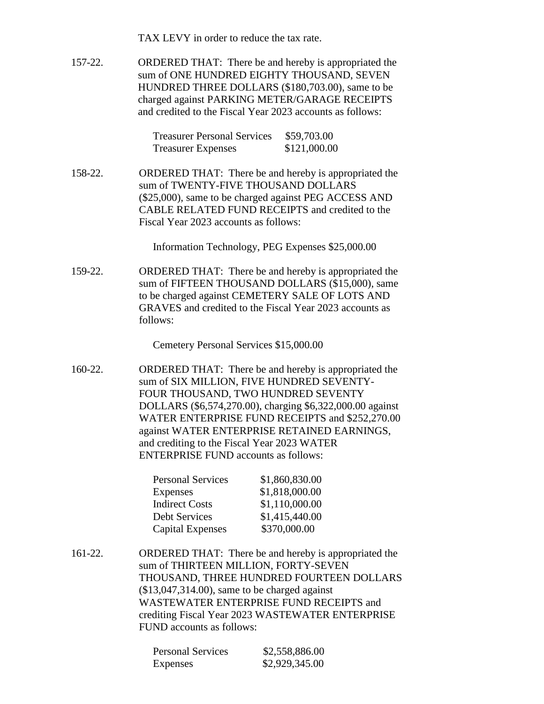TAX LEVY in order to reduce the tax rate.

157-22. ORDERED THAT: There be and hereby is appropriated the sum of ONE HUNDRED EIGHTY THOUSAND, SEVEN HUNDRED THREE DOLLARS (\$180,703.00), same to be charged against PARKING METER/GARAGE RECEIPTS and credited to the Fiscal Year 2023 accounts as follows:

| <b>Treasurer Personal Services</b> | \$59,703.00  |
|------------------------------------|--------------|
| <b>Treasurer Expenses</b>          | \$121,000.00 |

158-22. ORDERED THAT: There be and hereby is appropriated the sum of TWENTY-FIVE THOUSAND DOLLARS (\$25,000), same to be charged against PEG ACCESS AND CABLE RELATED FUND RECEIPTS and credited to the Fiscal Year 2023 accounts as follows:

Information Technology, PEG Expenses \$25,000.00

159-22. ORDERED THAT: There be and hereby is appropriated the sum of FIFTEEN THOUSAND DOLLARS (\$15,000), same to be charged against CEMETERY SALE OF LOTS AND GRAVES and credited to the Fiscal Year 2023 accounts as follows:

Cemetery Personal Services \$15,000.00

160-22. ORDERED THAT: There be and hereby is appropriated the sum of SIX MILLION, FIVE HUNDRED SEVENTY-FOUR THOUSAND, TWO HUNDRED SEVENTY DOLLARS (\$6,574,270.00), charging \$6,322,000.00 against WATER ENTERPRISE FUND RECEIPTS and \$252,270.00 against WATER ENTERPRISE RETAINED EARNINGS, and crediting to the Fiscal Year 2023 WATER ENTERPRISE FUND accounts as follows:

| \$1,860,830.00 |
|----------------|
| \$1,818,000.00 |
| \$1,110,000.00 |
| \$1,415,440.00 |
| \$370,000.00   |
|                |

161-22. ORDERED THAT: There be and hereby is appropriated the sum of THIRTEEN MILLION, FORTY-SEVEN THOUSAND, THREE HUNDRED FOURTEEN DOLLARS (\$13,047,314.00), same to be charged against WASTEWATER ENTERPRISE FUND RECEIPTS and crediting Fiscal Year 2023 WASTEWATER ENTERPRISE FUND accounts as follows:

| <b>Personal Services</b> | \$2,558,886.00 |
|--------------------------|----------------|
| Expenses                 | \$2,929,345.00 |